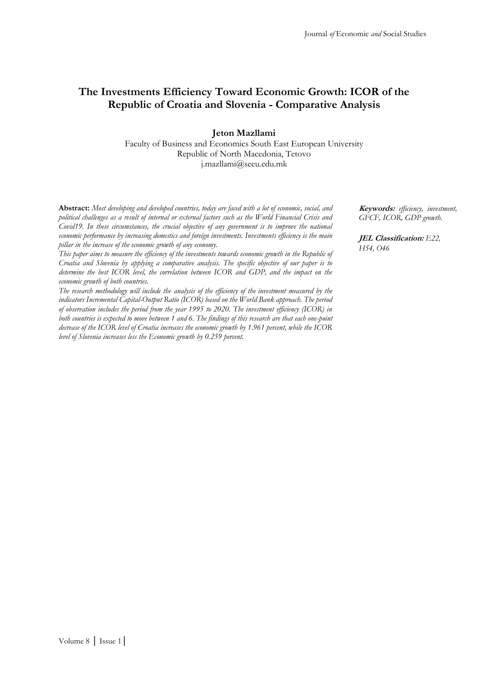# **The Investments Efficiency Toward Economic Growth: ICOR of the Republic of Croatia and Slovenia - Comparative Analysis**

**Jeton Mazllami**

Faculty of Business and Economics South East European University Republic of North Macedonia, Tetovo j.mazllami@seeu.edu.mk

**Abstract:** *Most developing and developed countries, today are faced with a lot of economic, social, and political challenges as a result of internal or external factors such as the World Financial Crisis and Covid19. In these circumstances, the crucial objective of any government is to improve the national economic performance by increasing domestics and foreign investments. Investments efficiency is the main pillar in the increase of the economic growth of any economy.*

*This paper aims to measure the efficiency of the investments towards economic growth in the Republic of Croatia and Slovenia by applying a comparative analysis. The specific objective of our paper is to*  determine the best ICOR level, the correlation between ICOR and GDP, and the impact on the *economic growth of both countries.* 

*The research methodology will include the analysis of the efficiency of the investment measured by the indicators Incremental Capital-Output Ratio (ICOR) based on the World Bank approach. The period of observation includes the period from the year 1995 to 2020. The investment efficiency (ICOR) in both countries is expected to move between 1 and 6. The findings of this research are that each one-point decrease of the ICOR level of Croatia increases the economic growth by 1.961 percent, while the ICOR level of Slovenia increases less the Economic growth by 0.259 percent.*

**Keywords:** *efficiency, investment, GFCF, ICOR, GDP growth.*

**JEL Classification:** *E22, H54, O46*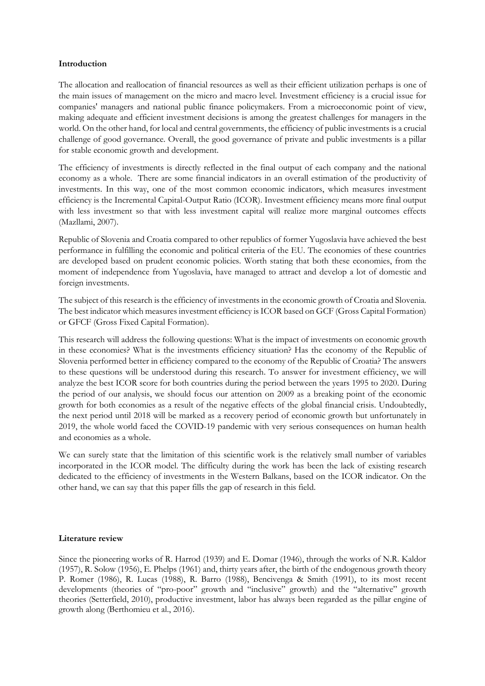#### **Introduction**

The allocation and reallocation of financial resources as well as their efficient utilization perhaps is one of the main issues of management on the micro and macro level. Investment efficiency is a crucial issue for companies' managers and national public finance policymakers. From a microeconomic point of view, making adequate and efficient investment decisions is among the greatest challenges for managers in the world. On the other hand, for local and central governments, the efficiency of public investments is a crucial challenge of good governance. Overall, the good governance of private and public investments is a pillar for stable economic growth and development.

The efficiency of investments is directly reflected in the final output of each company and the national economy as a whole. There are some financial indicators in an overall estimation of the productivity of investments. In this way, one of the most common economic indicators, which measures investment efficiency is the Incremental Capital-Output Ratio (ICOR). Investment efficiency means more final output with less investment so that with less investment capital will realize more marginal outcomes effects (Mazllami, 2007).

Republic of Slovenia and Croatia compared to other republics of former Yugoslavia have achieved the best performance in fulfilling the economic and political criteria of the EU. The economies of these countries are developed based on prudent economic policies. Worth stating that both these economies, from the moment of independence from Yugoslavia, have managed to attract and develop a lot of domestic and foreign investments.

The subject of this research is the efficiency of investments in the economic growth of Croatia and Slovenia. The best indicator which measures investment efficiency is ICOR based on GCF (Gross Capital Formation) or GFCF (Gross Fixed Capital Formation).

This research will address the following questions: What is the impact of investments on economic growth in these economies? What is the investments efficiency situation? Has the economy of the Republic of Slovenia performed better in efficiency compared to the economy of the Republic of Croatia? The answers to these questions will be understood during this research. To answer for investment efficiency, we will analyze the best ICOR score for both countries during the period between the years 1995 to 2020. During the period of our analysis, we should focus our attention on 2009 as a breaking point of the economic growth for both economies as a result of the negative effects of the global financial crisis. Undoubtedly, the next period until 2018 will be marked as a recovery period of economic growth but unfortunately in 2019, the whole world faced the COVID-19 pandemic with very serious consequences on human health and economies as a whole.

We can surely state that the limitation of this scientific work is the relatively small number of variables incorporated in the ICOR model. The difficulty during the work has been the lack of existing research dedicated to the efficiency of investments in the Western Balkans, based on the ICOR indicator. On the other hand, we can say that this paper fills the gap of research in this field.

## **Literature review**

Since the pioneering works of R. Harrod (1939) and E. Domar (1946), through the works of N.R. Kaldor (1957), R. Solow (1956), E. Phelps (1961) and, thirty years after, the birth of the endogenous growth theory P. Romer (1986), R. Lucas (1988), R. Barro (1988), Bencivenga & Smith (1991), to its most recent developments (theories of "pro-poor" growth and "inclusive" growth) and the "alternative" growth theories (Setterfield, 2010), productive investment, labor has always been regarded as the pillar engine of growth along (Berthomieu et al., 2016).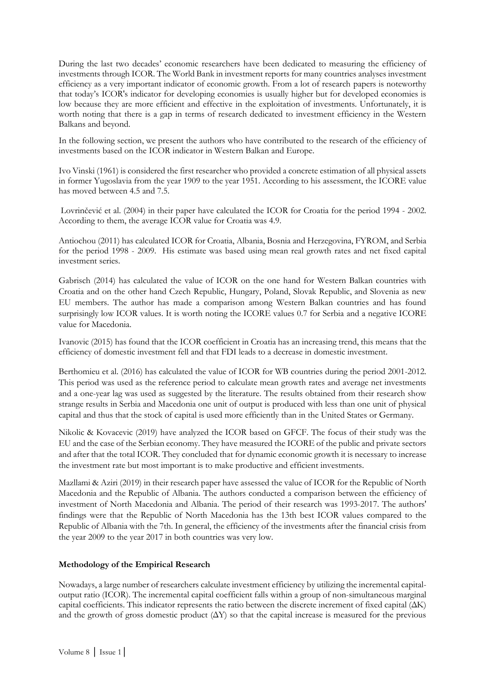During the last two decades' economic researchers have been dedicated to measuring the efficiency of investments through ICOR. The World Bank in investment reports for many countries analyses investment efficiency as a very important indicator of economic growth. From a lot of research papers is noteworthy that today's ICOR's indicator for developing economies is usually higher but for developed economies is low because they are more efficient and effective in the exploitation of investments. Unfortunately, it is worth noting that there is a gap in terms of research dedicated to investment efficiency in the Western Balkans and beyond.

In the following section, we present the authors who have contributed to the research of the efficiency of investments based on the ICOR indicator in Western Balkan and Europe.

Ivo Vinski (1961) is considered the first researcher who provided a concrete estimation of all physical assets in former Yugoslavia from the year 1909 to the year 1951. According to his assessment, the ICORE value has moved between 4.5 and 7.5.

Lovrinčević et al. (2004) in their paper have calculated the ICOR for Croatia for the period 1994 - 2002. According to them, the average ICOR value for Croatia was 4.9.

Antiochou (2011) has calculated ICOR for Croatia, Albania, Bosnia and Herzegovina, FYROM, and Serbia for the period 1998 - 2009. His estimate was based using mean real growth rates and net fixed capital investment series.

Gabrisch (2014) has calculated the value of ICOR on the one hand for Western Balkan countries with Croatia and on the other hand Czech Republic, Hungary, Poland, Slovak Republic, and Slovenia as new EU members. The author has made a comparison among Western Balkan countries and has found surprisingly low ICOR values. It is worth noting the ICORE values 0.7 for Serbia and a negative ICORE value for Macedonia.

Ivanovic (2015) has found that the ICOR coefficient in Croatia has an increasing trend, this means that the efficiency of domestic investment fell and that FDI leads to a decrease in domestic investment.

Berthomieu et al. (2016) has calculated the value of ICOR for WB countries during the period 2001-2012. This period was used as the reference period to calculate mean growth rates and average net investments and a one-year lag was used as suggested by the literature. The results obtained from their research show strange results in Serbia and Macedonia one unit of output is produced with less than one unit of physical capital and thus that the stock of capital is used more efficiently than in the United States or Germany.

Nikolic & Kovacevic (2019) have analyzed the ICOR based on GFCF. The focus of their study was the EU and the case of the Serbian economy. They have measured the ICORE of the public and private sectors and after that the total ICOR. They concluded that for dynamic economic growth it is necessary to increase the investment rate but most important is to make productive and efficient investments.

Mazllami & Aziri (2019) in their research paper have assessed the value of ICOR for the Republic of North Macedonia and the Republic of Albania. The authors conducted a comparison between the efficiency of investment of North Macedonia and Albania. The period of their research was 1993-2017. The authors' findings were that the Republic of North Macedonia has the 13th best ICOR values compared to the Republic of Albania with the 7th. In general, the efficiency of the investments after the financial crisis from the year 2009 to the year 2017 in both countries was very low.

## **Methodology of the Empirical Research**

Nowadays, a large number of researchers calculate investment efficiency by utilizing the incremental capitaloutput ratio (ICOR). The incremental capital coefficient falls within a group of non-simultaneous marginal capital coefficients. This indicator represents the ratio between the discrete increment of fixed capital (ΔK) and the growth of gross domestic product  $(\Delta Y)$  so that the capital increase is measured for the previous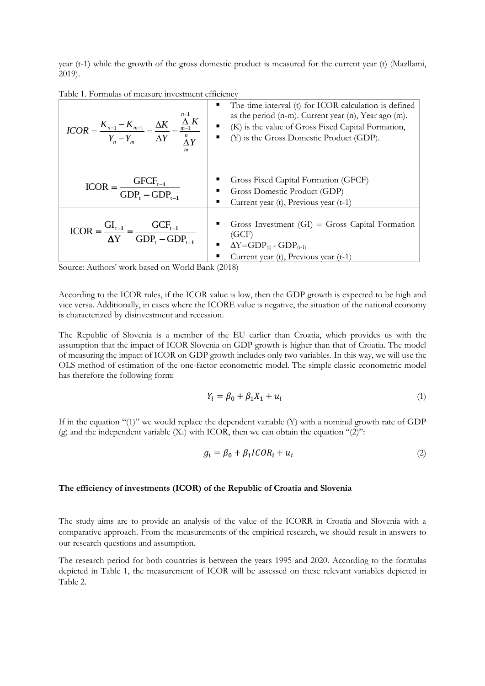year (t-1) while the growth of the gross domestic product is measured for the current year (t) (Mazllami, 2019).

|  |  | Table 1. Formulas of measure investment efficiency |  |
|--|--|----------------------------------------------------|--|
|  |  |                                                    |  |

| $n-1$<br>$ICOR = \frac{K_{n-1} - K_{m-1}}{Y_n - Y_m} = \frac{\Delta K}{\Delta Y} = \frac{\frac{\Delta K}{m-1}}{N}$<br>$\boldsymbol{m}$ | The time interval (t) for ICOR calculation is defined<br>as the period $(n-m)$ . Current year $(n)$ , Year ago $(m)$ .<br>$\blacksquare$ (K) is the value of Gross Fixed Capital Formation,<br>$\blacksquare$ (Y) is the Gross Domestic Product (GDP). |
|----------------------------------------------------------------------------------------------------------------------------------------|--------------------------------------------------------------------------------------------------------------------------------------------------------------------------------------------------------------------------------------------------------|
| $\text{ICOR} = \frac{\text{GFCF}_{t-1}}{\text{GDP}_{t} - \text{GDP}_{t-1}}$                                                            | Gross Fixed Capital Formation (GFCF)<br>Gross Domestic Product (GDP)<br>Current year (t), Previous year (t-1)                                                                                                                                          |
| $ICOR = \frac{GI_{t-1}}{\Delta Y} = \frac{GCF_{t-1}}{GDP_t - GDP_{t-1}}$                                                               | Gross Investment $(GI) = Gross$ Capital Formation<br>(GCF)<br>$\Delta Y = GDP_{(t)} - GDP_{(t-1)}$<br>Current year (t), Previous year (t-1)                                                                                                            |

Source: Authors' work based on World Bank (2018)

According to the ICOR rules, if the ICOR value is low, then the GDP growth is expected to be high and vice versa. Additionally, in cases where the ICORE value is negative, the situation of the national economy is characterized by disinvestment and recession.

The Republic of Slovenia is a member of the EU earlier than Croatia, which provides us with the assumption that the impact of ICOR Slovenia on GDP growth is higher than that of Croatia. The model of measuring the impact of ICOR on GDP growth includes only two variables. In this way, we will use the OLS method of estimation of the one-factor econometric model. The simple classic econometric model has therefore the following form:

$$
Y_i = \beta_0 + \beta_1 X_1 + u_i \tag{1}
$$

If in the equation "(1)" we would replace the dependent variable (Y) with a nominal growth rate of GDP (g) and the independent variable  $(X_1)$  with ICOR, then we can obtain the equation "(2)":

$$
g_i = \beta_0 + \beta_1 ICOR_i + u_i \tag{2}
$$

#### **The efficiency of investments (ICOR) of the Republic of Croatia and Slovenia**

The study aims are to provide an analysis of the value of the ICORR in Croatia and Slovenia with a comparative approach. From the measurements of the empirical research, we should result in answers to our research questions and assumption.

The research period for both countries is between the years 1995 and 2020. According to the formulas depicted in Table 1, the measurement of ICOR will be assessed on these relevant variables depicted in Table 2.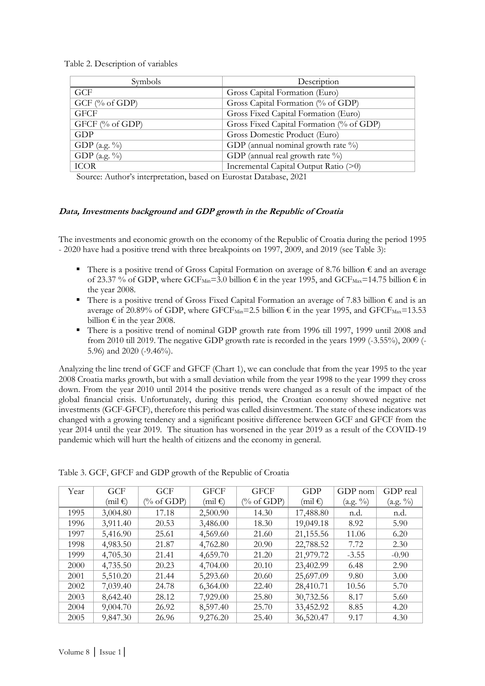Table 2. Description of variables

| Gross Capital Formation (Euro)           |
|------------------------------------------|
| Gross Capital Formation (% of GDP)       |
| Gross Fixed Capital Formation (Euro)     |
| Gross Fixed Capital Formation (% of GDP) |
| Gross Domestic Product (Euro)            |
| GDP (annual nominal growth rate $\%$ )   |
| GDP (annual real growth rate $\%$ )      |
| Incremental Capital Output Ratio (>0)    |
| $C = A A + Y$ , $A + Y$ , $A + Y$        |

Source: Author's interpretation, based on Eurostat Database, 2021

## **Data, Investments background and GDP growth in the Republic of Croatia**

The investments and economic growth on the economy of the Republic of Croatia during the period 1995 - 2020 have had a positive trend with three breakpoints on 1997, 2009, and 2019 (see Table 3):

- There is a positive trend of Gross Capital Formation on average of 8.76 billion € and an average of 23.37 % of GDP, where  $GCF_{Min} = 3.0$  billion  $\epsilon$  in the year 1995, and  $GCF_{Max} = 14.75$  billion  $\epsilon$  in the year 2008.
- There is a positive trend of Gross Fixed Capital Formation an average of 7.83 billion  $€$  and is an average of 20.89% of GDP, where GFCF<sub>Min</sub>=2.5 billion  $\epsilon$  in the year 1995, and GFCF<sub>Max</sub>=13.53 billion  $\epsilon$  in the year 2008.
- There is a positive trend of nominal GDP growth rate from 1996 till 1997, 1999 until 2008 and from 2010 till 2019. The negative GDP growth rate is recorded in the years 1999 (-3.55%), 2009 (- 5.96) and 2020 (-9.46%).

Analyzing the line trend of GCF and GFCF (Chart 1), we can conclude that from the year 1995 to the year 2008 Croatia marks growth, but with a small deviation while from the year 1998 to the year 1999 they cross down. From the year 2010 until 2014 the positive trends were changed as a result of the impact of the global financial crisis. Unfortunately, during this period, the Croatian economy showed negative net investments (GCF-GFCF), therefore this period was called disinvestment. The state of these indicators was changed with a growing tendency and a significant positive difference between GCF and GFCF from the year 2014 until the year 2019. The situation has worsened in the year 2019 as a result of the COVID-19 pandemic which will hurt the health of citizens and the economy in general.

| Year | <b>GCF</b>        | <b>GCF</b>            | <b>GFCF</b>       | <b>GFCF</b>           | GDP               | GDP nom  | GDP real |
|------|-------------------|-----------------------|-------------------|-----------------------|-------------------|----------|----------|
|      | (mil $\epsilon$ ) | $(\% \text{ of GDP})$ | (mil $\epsilon$ ) | $(\% \text{ of GDP})$ | (mil $\epsilon$ ) | (a.g. %) | (a.g. %) |
| 1995 | 3,004.80          | 17.18                 | 2,500.90          | 14.30                 | 17,488.80         | n.d.     | n.d.     |
| 1996 | 3,911.40          | 20.53                 | 3,486.00          | 18.30                 | 19,049.18         | 8.92     | 5.90     |
| 1997 | 5,416.90          | 25.61                 | 4,569.60          | 21.60                 | 21,155.56         | 11.06    | 6.20     |
| 1998 | 4,983.50          | 21.87                 | 4,762.80          | 20.90                 | 22,788.52         | 7.72     | 2.30     |
| 1999 | 4,705.30          | 21.41                 | 4,659.70          | 21.20                 | 21,979.72         | $-3.55$  | $-0.90$  |
| 2000 | 4,735.50          | 20.23                 | 4,704.00          | 20.10                 | 23,402.99         | 6.48     | 2.90     |
| 2001 | 5,510.20          | 21.44                 | 5,293.60          | 20.60                 | 25,697.09         | 9.80     | 3.00     |
| 2002 | 7,039.40          | 24.78                 | 6,364.00          | 22.40                 | 28,410.71         | 10.56    | 5.70     |
| 2003 | 8,642.40          | 28.12                 | 7,929.00          | 25.80                 | 30,732.56         | 8.17     | 5.60     |
| 2004 | 9,004.70          | 26.92                 | 8,597.40          | 25.70                 | 33,452.92         | 8.85     | 4.20     |
| 2005 | 9,847.30          | 26.96                 | 9,276.20          | 25.40                 | 36,520.47         | 9.17     | 4.30     |

Table 3. GCF, GFCF and GDP growth of the Republic of Croatia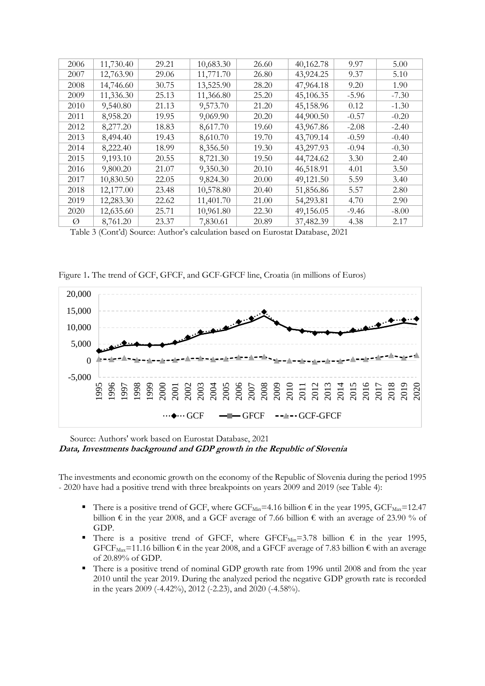| 2006 | 11,730.40 | 29.21 | 10,683.30 | 26.60 | 40,162.78 | 9.97    | 5.00    |
|------|-----------|-------|-----------|-------|-----------|---------|---------|
| 2007 | 12,763.90 | 29.06 | 11,771.70 | 26.80 | 43,924.25 | 9.37    | 5.10    |
| 2008 | 14,746.60 | 30.75 | 13,525.90 | 28.20 | 47,964.18 | 9.20    | 1.90    |
| 2009 | 11,336.30 | 25.13 | 11,366.80 | 25.20 | 45,106.35 | $-5.96$ | $-7.30$ |
| 2010 | 9,540.80  | 21.13 | 9,573.70  | 21.20 | 45,158.96 | 0.12    | $-1.30$ |
| 2011 | 8,958.20  | 19.95 | 9,069.90  | 20.20 | 44,900.50 | $-0.57$ | $-0.20$ |
| 2012 | 8,277.20  | 18.83 | 8,617.70  | 19.60 | 43,967.86 | $-2.08$ | $-2.40$ |
| 2013 | 8,494.40  | 19.43 | 8,610.70  | 19.70 | 43,709.14 | $-0.59$ | $-0.40$ |
| 2014 | 8,222.40  | 18.99 | 8,356.50  | 19.30 | 43,297.93 | $-0.94$ | $-0.30$ |
| 2015 | 9,193.10  | 20.55 | 8,721.30  | 19.50 | 44,724.62 | 3.30    | 2.40    |
| 2016 | 9,800.20  | 21.07 | 9,350.30  | 20.10 | 46,518.91 | 4.01    | 3.50    |
| 2017 | 10,830.50 | 22.05 | 9,824.30  | 20.00 | 49,121.50 | 5.59    | 3.40    |
| 2018 | 12,177.00 | 23.48 | 10,578.80 | 20.40 | 51,856.86 | 5.57    | 2.80    |
| 2019 | 12,283.30 | 22.62 | 11,401.70 | 21.00 | 54,293.81 | 4.70    | 2.90    |
| 2020 | 12,635.60 | 25.71 | 10,961.80 | 22.30 | 49,156.05 | $-9.46$ | $-8.00$ |
| Ø    | 8,761.20  | 23.37 | 7,830.61  | 20.89 | 37,482.39 | 4.38    | 2.17    |

Table 3 (Cont'd) Source: Author's calculation based on Eurostat Database, 2021

Figure 1**.** The trend of GCF, GFCF, and GCF-GFCF line, Croatia (in millions of Euros)



Source: Authors' work based on Eurostat Database, 2021 **Data, Investments background and GDP growth in the Republic of Slovenia**

The investments and economic growth on the economy of the Republic of Slovenia during the period 1995 - 2020 have had a positive trend with three breakpoints on years 2009 and 2019 (see Table 4):

- There is a positive trend of GCF, where  $GCF_{Min} = 4.16$  billion  $\epsilon$  in the year 1995,  $GCF_{Max} = 12.47$ billion  $\epsilon$  in the year 2008, and a GCF average of 7.66 billion  $\epsilon$  with an average of 23.90 % of GDP.
- There is a positive trend of GFCF, where GFCF<sub>Min</sub>=3.78 billion  $\epsilon$  in the year 1995, GFCF<sub>Max</sub>=11.16 billion  $\epsilon$  in the year 2008, and a GFCF average of 7.83 billion  $\epsilon$  with an average of 20.89% of GDP.
- There is a positive trend of nominal GDP growth rate from 1996 until 2008 and from the year 2010 until the year 2019. During the analyzed period the negative GDP growth rate is recorded in the years 2009 (-4.42%), 2012 (-2.23), and 2020 (-4.58%).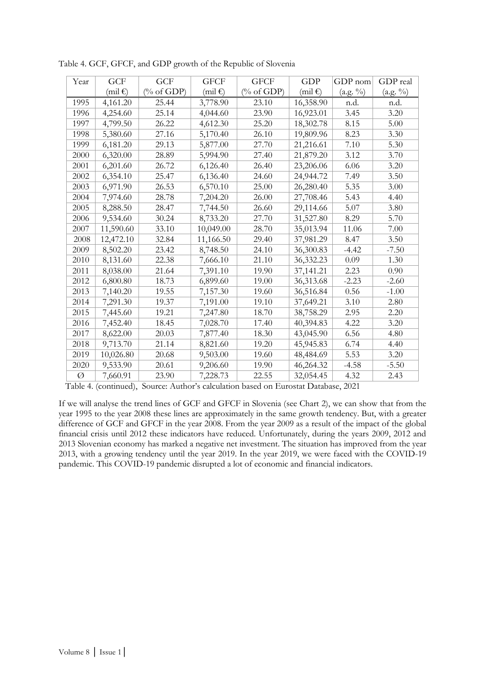| Year | <b>GCF</b>        | GCF                   | <b>GFCF</b> | <b>GFCF</b>           | <b>GDP</b>        | GDP nom  | GDP real |
|------|-------------------|-----------------------|-------------|-----------------------|-------------------|----------|----------|
|      | (mil $\epsilon$ ) | $(\% \text{ of GDP})$ | (mil€)      | $(\% \text{ of GDP})$ | (mil $\epsilon$ ) | (a.g. %) | (a.g. %) |
| 1995 | 4,161.20          | 25.44                 | 3,778.90    | 23.10                 | 16,358.90         | n.d.     | n.d.     |
| 1996 | 4,254.60          | 25.14                 | 4,044.60    | 23.90                 | 16,923.01         | 3.45     | 3.20     |
| 1997 | 4,799.50          | 26.22                 | 4,612.30    | 25.20                 | 18,302.78         | 8.15     | 5.00     |
| 1998 | 5,380.60          | 27.16                 | 5,170.40    | 26.10                 | 19,809.96         | 8.23     | 3.30     |
| 1999 | 6,181.20          | 29.13                 | 5,877.00    | 27.70                 | 21,216.61         | 7.10     | 5.30     |
| 2000 | 6,320.00          | 28.89                 | 5,994.90    | 27.40                 | 21,879.20         | 3.12     | 3.70     |
| 2001 | 6,201.60          | 26.72                 | 6,126.40    | 26.40                 | 23,206.06         | 6.06     | 3.20     |
| 2002 | 6,354.10          | 25.47                 | 6,136.40    | 24.60                 | 24,944.72         | 7.49     | 3.50     |
| 2003 | 6,971.90          | 26.53                 | 6,570.10    | 25.00                 | 26,280.40         | 5.35     | 3.00     |
| 2004 | 7,974.60          | 28.78                 | 7,204.20    | 26.00                 | 27,708.46         | 5.43     | 4.40     |
| 2005 | 8,288.50          | 28.47                 | 7,744.50    | 26.60                 | 29,114.66         | 5.07     | 3.80     |
| 2006 | 9,534.60          | 30.24                 | 8,733.20    | 27.70                 | 31,527.80         | 8.29     | 5.70     |
| 2007 | 11,590.60         | 33.10                 | 10,049.00   | 28.70                 | 35,013.94         | 11.06    | 7.00     |
| 2008 | 12,472.10         | 32.84                 | 11,166.50   | 29.40                 | 37,981.29         | 8.47     | 3.50     |
| 2009 | 8,502.20          | 23.42                 | 8,748.50    | 24.10                 | 36,300.83         | $-4.42$  | $-7.50$  |
| 2010 | 8,131.60          | 22.38                 | 7,666.10    | 21.10                 | 36,332.23         | 0.09     | 1.30     |
| 2011 | 8,038.00          | 21.64                 | 7,391.10    | 19.90                 | 37,141.21         | 2.23     | 0.90     |
| 2012 | 6,800.80          | 18.73                 | 6,899.60    | 19.00                 | 36,313.68         | $-2.23$  | $-2.60$  |
| 2013 | 7,140.20          | 19.55                 | 7,157.30    | 19.60                 | 36,516.84         | 0.56     | $-1.00$  |
| 2014 | 7,291.30          | 19.37                 | 7,191.00    | 19.10                 | 37,649.21         | 3.10     | 2.80     |
| 2015 | 7,445.60          | 19.21                 | 7,247.80    | 18.70                 | 38,758.29         | 2.95     | 2.20     |
| 2016 | 7,452.40          | 18.45                 | 7,028.70    | 17.40                 | 40,394.83         | 4.22     | 3.20     |
| 2017 | 8,622.00          | 20.03                 | 7,877.40    | 18.30                 | 43,045.90         | 6.56     | 4.80     |
| 2018 | 9,713.70          | 21.14                 | 8,821.60    | 19.20                 | 45,945.83         | 6.74     | 4.40     |
| 2019 | 10,026.80         | 20.68                 | 9,503.00    | 19.60                 | 48,484.69         | 5.53     | 3.20     |
| 2020 | 9,533.90          | 20.61                 | 9,206.60    | 19.90                 | 46,264.32         | $-4.58$  | $-5.50$  |
| Ø    | 7,660.91          | 23.90                 | 7,228.73    | 22.55                 | 32,054.45         | 4.32     | 2.43     |

Table 4. GCF, GFCF, and GDP growth of the Republic of Slovenia

Table 4. (continued), Source: Author's calculation based on Eurostat Database, 2021

If we will analyse the trend lines of GCF and GFCF in Slovenia (see Chart 2), we can show that from the year 1995 to the year 2008 these lines are approximately in the same growth tendency. But, with a greater difference of GCF and GFCF in the year 2008. From the year 2009 as a result of the impact of the global financial crisis until 2012 these indicators have reduced. Unfortunately, during the years 2009, 2012 and 2013 Slovenian economy has marked a negative net investment. The situation has improved from the year 2013, with a growing tendency until the year 2019. In the year 2019, we were faced with the COVID-19 pandemic. This COVID-19 pandemic disrupted a lot of economic and financial indicators.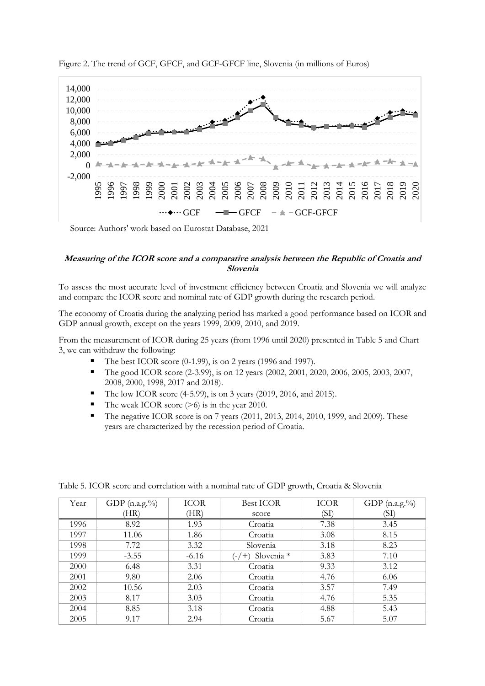



Source: Authors' work based on Eurostat Database, 2021

#### **Measuring of the ICOR score and a comparative analysis between the Republic of Croatia and Slovenia**

To assess the most accurate level of investment efficiency between Croatia and Slovenia we will analyze and compare the ICOR score and nominal rate of GDP growth during the research period.

The economy of Croatia during the analyzing period has marked a good performance based on ICOR and GDP annual growth, except on the years 1999, 2009, 2010, and 2019.

From the measurement of ICOR during 25 years (from 1996 until 2020) presented in Table 5 and Chart 3, we can withdraw the following:

- The best ICOR score (0-1.99), is on 2 years (1996 and 1997).
- The good ICOR score (2-3.99), is on 12 years (2002, 2001, 2020, 2006, 2005, 2003, 2007, 2008, 2000, 1998, 2017 and 2018).
- The low ICOR score (4-5.99), is on 3 years (2019, 2016, and 2015).
- The weak ICOR score  $(>6)$  is in the year 2010.
- The negative ICOR score is on 7 years (2011, 2013, 2014, 2010, 1999, and 2009). These years are characterized by the recession period of Croatia.

| Year | GDP $(n.a.g. %)$ | <b>ICOR</b> | <b>Best ICOR</b>   | <b>ICOR</b> | GDP $(n.a.g.%)$ |
|------|------------------|-------------|--------------------|-------------|-----------------|
|      | (HR)             | (HR)        | score              | (SI)        | (SP             |
| 1996 | 8.92             | 1.93        | Croatia            | 7.38        | 3.45            |
| 1997 | 11.06            | 1.86        | Croatia            | 3.08        | 8.15            |
| 1998 | 7.72             | 3.32        | Slovenia           | 3.18        | 8.23            |
| 1999 | $-3.55$          | $-6.16$     | $(-/+)$ Slovenia * | 3.83        | 7.10            |
| 2000 | 6.48             | 3.31        | Croatia            | 9.33        | 3.12            |
| 2001 | 9.80             | 2.06        | Croatia            | 4.76        | 6.06            |
| 2002 | 10.56            | 2.03        | Croatia            | 3.57        | 7.49            |
| 2003 | 8.17             | 3.03        | Croatia            | 4.76        | 5.35            |
| 2004 | 8.85             | 3.18        | Croatia            | 4.88        | 5.43            |
| 2005 | 9.17             | 2.94        | Croatia            | 5.67        | 5.07            |

Table 5. ICOR score and correlation with a nominal rate of GDP growth, Croatia & Slovenia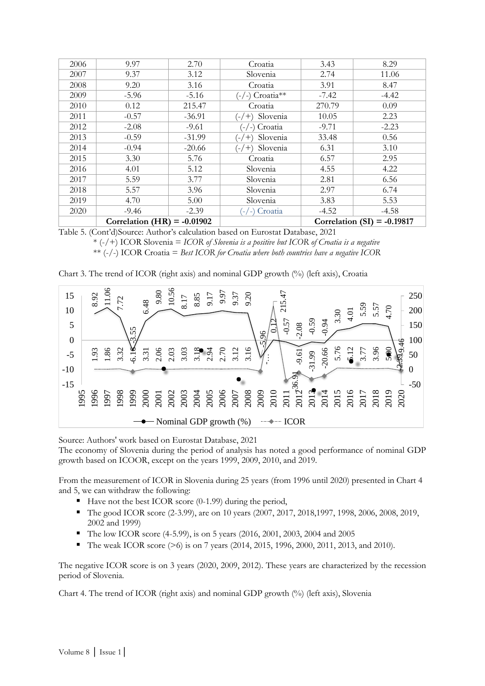| 2006 | 9.97                          | 2.70     | Croatia                    | 3.43    | 8.29                          |
|------|-------------------------------|----------|----------------------------|---------|-------------------------------|
| 2007 | 9.37                          | 3.12     | Slovenia                   | 2.74    | 11.06                         |
| 2008 | 9.20                          | 3.16     | Croatia                    | 3.91    | 8.47                          |
| 2009 | $-5.96$                       | $-5.16$  | $(-/-)$ Croatia**          | $-7.42$ | $-4.42$                       |
| 2010 | 0.12                          | 215.47   | Croatia                    | 270.79  | 0.09                          |
| 2011 | $-0.57$                       | $-36.91$ | Slovenia<br>$(-/+)$        | 10.05   | 2.23                          |
| 2012 | $-2.08$                       | $-9.61$  | Croatia<br>$-/-$ )         | $-9.71$ | $-2.23$                       |
| 2013 | $-0.59$                       | $-31.99$ | Slovenia<br>$(+)$<br>$-$ / | 33.48   | 0.56                          |
| 2014 | $-0.94$                       | $-20.66$ | Slovenia<br>$(-/+)$        | 6.31    | 3.10                          |
| 2015 | 3.30                          | 5.76     | Croatia                    | 6.57    | 2.95                          |
| 2016 | 4.01                          | 5.12     | Slovenia                   | 4.55    | 4.22                          |
| 2017 | 5.59                          | 3.77     | Slovenia                   | 2.81    | 6.56                          |
| 2018 | 5.57                          | 3.96     | Slovenia                   | 2.97    | 6.74                          |
| 2019 | 4.70                          | 5.00     | Slovenia                   | 3.83    | 5.53                          |
| 2020 | $-9.46$                       | $-2.39$  | (-/-) Croatia              | $-4.52$ | $-4.58$                       |
|      | Correlation (HR) = $-0.01902$ |          |                            |         | Correlation (SI) = $-0.19817$ |

Table 5. (Cont'd)Source: Author's calculation based on Eurostat Database, 2021

\* (-/+) ICOR Slovenia = *ICOR of Slovenia is a positive but ICOR of Croatia is a negative* \*\* (-/-) ICOR Croatia = *Best ICOR for Croatia where both countries have a negative ICOR*

| Chart 3. The trend of ICOR (right axis) and nominal GDP growth (%) (left axis), Croatia |  |  |  |  |  |  |  |  |
|-----------------------------------------------------------------------------------------|--|--|--|--|--|--|--|--|
|-----------------------------------------------------------------------------------------|--|--|--|--|--|--|--|--|



Source: Authors' work based on Eurostat Database, 2021

The economy of Slovenia during the period of analysis has noted a good performance of nominal GDP growth based on ICOOR, except on the years 1999, 2009, 2010, and 2019.

From the measurement of ICOR in Slovenia during 25 years (from 1996 until 2020) presented in Chart 4 and 5, we can withdraw the following:

- $\blacksquare$  Have not the best ICOR score (0-1.99) during the period,
- The good ICOR score (2-3.99), are on 10 years (2007, 2017, 2018,1997, 1998, 2006, 2008, 2019, 2002 and 1999)
- The low ICOR score (4-5.99), is on 5 years (2016, 2001, 2003, 2004 and 2005
- The weak ICOR score (>6) is on 7 years (2014, 2015, 1996, 2000, 2011, 2013, and 2010).

The negative ICOR score is on 3 years (2020, 2009, 2012). These years are characterized by the recession period of Slovenia.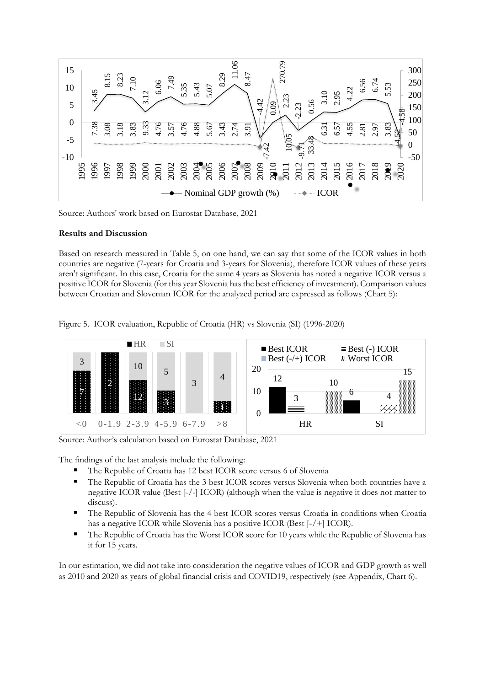

Source: Authors' work based on Eurostat Database, 2021

## **Results and Discussion**

Based on research measured in Table 5, on one hand, we can say that some of the ICOR values in both countries are negative (7-years for Croatia and 3-years for Slovenia), therefore ICOR values of these years aren't significant. In this case, Croatia for the same 4 years as Slovenia has noted a negative ICOR versus a positive ICOR for Slovenia (for this year Slovenia has the best efficiency of investment). Comparison values between Croatian and Slovenian ICOR for the analyzed period are expressed as follows (Chart 5):

Figure 5. ICOR evaluation, Republic of Croatia (HR) vs Slovenia (SI) (1996-2020)



Source: Author's calculation based on Eurostat Database, 2021

The findings of the last analysis include the following:

- The Republic of Croatia has 12 best ICOR score versus 6 of Slovenia
- The Republic of Croatia has the 3 best ICOR scores versus Slovenia when both countries have a negative ICOR value (Best [-/-] ICOR) (although when the value is negative it does not matter to discuss).
- The Republic of Slovenia has the 4 best ICOR scores versus Croatia in conditions when Croatia has a negative ICOR while Slovenia has a positive ICOR (Best [-/+] ICOR).
- **•** The Republic of Croatia has the Worst ICOR score for 10 years while the Republic of Slovenia has it for 15 years.

In our estimation, we did not take into consideration the negative values of ICOR and GDP growth as well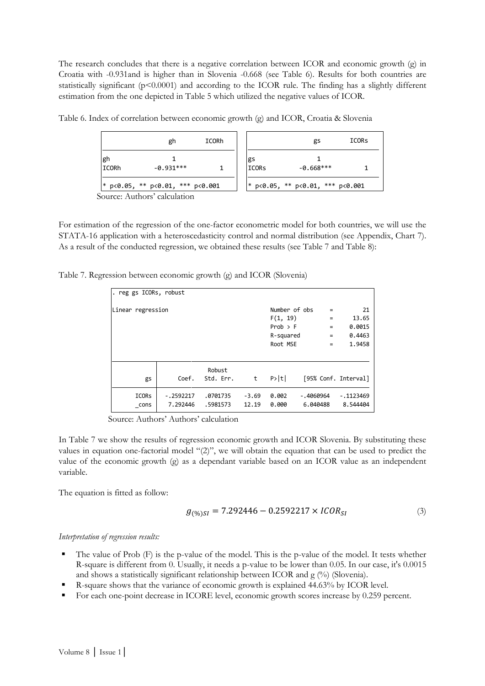The research concludes that there is a negative correlation between ICOR and economic growth (g) in Croatia with -0.931and is higher than in Slovenia -0.668 (see Table 6). Results for both countries are statistically significant ( $p<0.0001$ ) and according to the ICOR rule. The finding has a slightly different estimation from the one depicted in Table 5 which utilized the negative values of ICOR.

|                    | gh                                     | ICORh |             | gs                               | ICORS |
|--------------------|----------------------------------------|-------|-------------|----------------------------------|-------|
| gh<br><b>ICORh</b> | $-0.931***$                            |       | gs<br>ICORs | $-0.668***$                      |       |
|                    | $*$ p<0.05, $**$ p<0.01, $***$ p<0.001 |       |             | * p<0.05, ** p<0.01, *** p<0.001 |       |

Table 6. Index of correlation between economic growth (g) and ICOR, Croatia & Slovenia

For estimation of the regression of the one-factor econometric model for both countries, we will use the STATA-16 application with a heteroscedasticity control and normal distribution (see Appendix, Chart 7). As a result of the conducted regression, we obtained these results (see Table 7 and Table 8):

Table 7. Regression between economic growth (g) and ICOR (Slovenia)

| . reg gs ICORs, robust |                         |                      |                  |                |                         |                        |
|------------------------|-------------------------|----------------------|------------------|----------------|-------------------------|------------------------|
| Linear regression      |                         |                      |                  | Number of obs  | $\equiv$                | 21                     |
|                        |                         |                      |                  | F(1, 19)       | $=$                     | 13.65                  |
|                        |                         |                      |                  | $Prob$ > F     | $\equiv$                | 0.0015                 |
|                        |                         |                      |                  | R-squared      | $\equiv$                | 0.4463                 |
|                        |                         |                      |                  | Root MSE       | $=$                     | 1.9458                 |
|                        |                         | Robust               |                  |                |                         |                        |
| gs                     | Coef.                   | Std. Err.            | t                | P> t           |                         | [95% Conf. Interval]   |
| <b>ICORS</b><br>cons   | $-.2592217$<br>7.292446 | .0701735<br>.5981573 | $-3.69$<br>12.19 | 0.002<br>0.000 | $-.4060964$<br>6.040488 | $-1123469$<br>8.544404 |

Source: Authors' Authors' calculation

In Table 7 we show the results of regression economic growth and ICOR Slovenia. By substituting these values in equation one-factorial model "(2)", we will obtain the equation that can be used to predict the value of the economic growth (g) as a dependant variable based on an ICOR value as an independent variable.

The equation is fitted as follow:

$$
g_{(\%)SI} = 7.292446 - 0.2592217 \times ICOR_{SI}
$$
 (3)

## *Interpretation of regression results:*

- $\blacksquare$  The value of Prob (F) is the p-value of the model. This is the p-value of the model. It tests whether R-square is different from 0. Usually, it needs a p-value to be lower than 0.05. In our case, it's 0.0015 and shows a statistically significant relationship between ICOR and g (%) (Slovenia).
- R-square shows that the variance of economic growth is explained 44.63% by ICOR level.
- For each one-point decrease in ICORE level, economic growth scores increase by 0.259 percent.

Source: Authors' calculation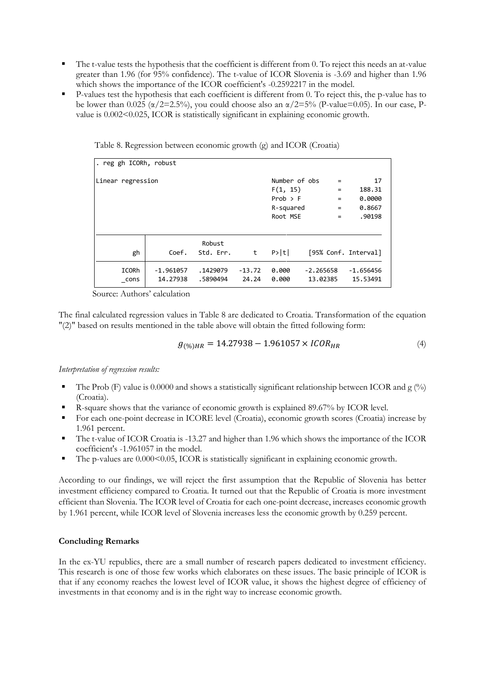- $\blacksquare$  The t-value tests the hypothesis that the coefficient is different from 0. To reject this needs an at-value greater than 1.96 (for 95% confidence). The t-value of ICOR Slovenia is -3.69 and higher than 1.96 which shows the importance of the ICOR coefficient's -0.2592217 in the model.
- **•** P-values test the hypothesis that each coefficient is different from 0. To reject this, the p-value has to be lower than  $0.025 \ (\alpha/2=2.5\%)$ , you could choose also an  $\alpha/2=5\%$  (P-value=0.05). In our case, Pvalue is  $0.002<0.025$ , ICOR is statistically significant in explaining economic growth.

| . reg gh ICORh, robust |                         |                      |                   |                                                                |                         |                                      |                                            |
|------------------------|-------------------------|----------------------|-------------------|----------------------------------------------------------------|-------------------------|--------------------------------------|--------------------------------------------|
| Linear regression      |                         |                      |                   | Number of obs<br>F(1, 15)<br>Prob > F<br>R-squared<br>Root MSE |                         | $=$<br>$=$<br>$=$<br>$\equiv$<br>$=$ | 17<br>188.31<br>0.0000<br>0.8667<br>.90198 |
| gh                     | Coef.                   | Robust<br>Std. Err.  | t                 | P> t                                                           |                         |                                      | [95% Conf. Interval]                       |
| ICORh<br>cons          | $-1.961057$<br>14.27938 | .1429079<br>.5890494 | $-13.72$<br>24.24 | 0.000<br>0.000                                                 | $-2.265658$<br>13.02385 |                                      | $-1.656456$<br>15.53491                    |

Table 8. Regression between economic growth (g) and ICOR (Croatia)

Source: Authors' calculation

The final calculated regression values in Table 8 are dedicated to Croatia. Transformation of the equation "(2)" based on results mentioned in the table above will obtain the fitted following form:

$$
g_{(\%)HR} = 14.27938 - 1.961057 \times ICOR_{HR}
$$
\n<sup>(4)</sup>

*Interpretation of regression results:*

- The Prob (F) value is 0.0000 and shows a statistically significant relationship between ICOR and  $g$  (%) (Croatia).
- R-square shows that the variance of economic growth is explained 89.67% by ICOR level.
- For each one-point decrease in ICORE level (Croatia), economic growth scores (Croatia) increase by 1.961 percent.
- The t-value of ICOR Croatia is -13.27 and higher than 1.96 which shows the importance of the ICOR coefficient's -1.961057 in the model.
- The p-values are 0.000 < 0.05, ICOR is statistically significant in explaining economic growth.

According to our findings, we will reject the first assumption that the Republic of Slovenia has better investment efficiency compared to Croatia. It turned out that the Republic of Croatia is more investment efficient than Slovenia. The ICOR level of Croatia for each one-point decrease, increases economic growth by 1.961 percent, while ICOR level of Slovenia increases less the economic growth by 0.259 percent.

## **Concluding Remarks**

In the ex-YU republics, there are a small number of research papers dedicated to investment efficiency. This research is one of those few works which elaborates on these issues. The basic principle of ICOR is that if any economy reaches the lowest level of ICOR value, it shows the highest degree of efficiency of investments in that economy and is in the right way to increase economic growth.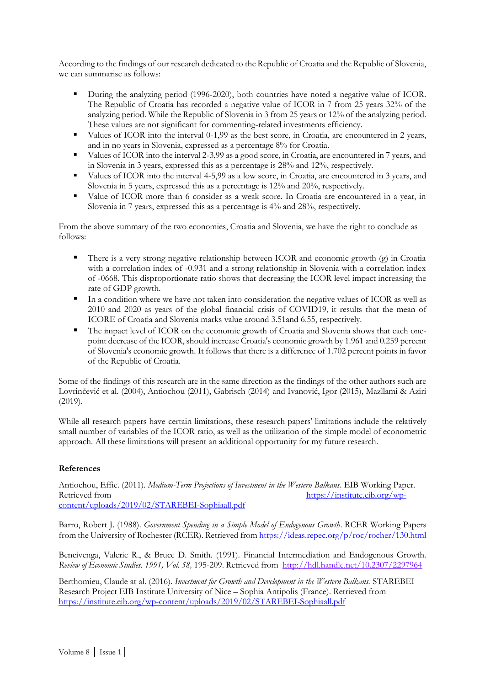According to the findings of our research dedicated to the Republic of Croatia and the Republic of Slovenia, we can summarise as follows:

- During the analyzing period (1996-2020), both countries have noted a negative value of ICOR. The Republic of Croatia has recorded a negative value of ICOR in 7 from 25 years 32% of the analyzing period. While the Republic of Slovenia in 3 from 25 years or 12% of the analyzing period. These values are not significant for commenting-related investments efficiency.
- Values of ICOR into the interval 0-1,99 as the best score, in Croatia, are encountered in 2 years, and in no years in Slovenia, expressed as a percentage 8% for Croatia.
- Values of ICOR into the interval 2-3,99 as a good score, in Croatia, are encountered in 7 years, and in Slovenia in 3 years, expressed this as a percentage is 28% and 12%, respectively.
- Values of ICOR into the interval 4-5,99 as a low score, in Croatia, are encountered in 3 years, and Slovenia in 5 years, expressed this as a percentage is 12% and 20%, respectively.
- Value of ICOR more than 6 consider as a weak score. In Croatia are encountered in a year, in Slovenia in 7 years, expressed this as a percentage is 4% and 28%, respectively.

From the above summary of the two economies, Croatia and Slovenia, we have the right to conclude as follows:

- **•** There is a very strong negative relationship between ICOR and economic growth (g) in Croatia with a correlation index of -0.931 and a strong relationship in Slovenia with a correlation index of -0668. This disproportionate ratio shows that decreasing the ICOR level impact increasing the rate of GDP growth.
- In a condition where we have not taken into consideration the negative values of ICOR as well as 2010 and 2020 as years of the global financial crisis of COVID19, it results that the mean of ICORE of Croatia and Slovenia marks value around 3.51and 6.55, respectively.
- The impact level of ICOR on the economic growth of Croatia and Slovenia shows that each onepoint decrease of the ICOR, should increase Croatia's economic growth by 1.961 and 0.259 percent of Slovenia's economic growth. It follows that there is a difference of 1.702 percent points in favor of the Republic of Croatia.

Some of the findings of this research are in the same direction as the findings of the other authors such are Lovrinčević et al. (2004), Antiochou (2011), Gabrisch (2014) and Ivanović, Igor (2015), Mazllami & Aziri (2019).

While all research papers have certain limitations, these research papers' limitations include the relatively small number of variables of the ICOR ratio, as well as the utilization of the simple model of econometric approach. All these limitations will present an additional opportunity for my future research.

## **References**

Antiochou, Effie. (2011). *Medium-Term Projections of Investment in the Western Balkans*. EIB Working Paper. Retrieved from [https://institute.eib.org/wp](https://institute.eib.org/wp-content/uploads/2019/02/STAREBEI-Sophiaall.pdf)[content/uploads/2019/02/STAREBEI-Sophiaall.pdf](https://institute.eib.org/wp-content/uploads/2019/02/STAREBEI-Sophiaall.pdf)

Barro, Robert J. (1988). *Government Spending in a Simple Model of Endogenous Growth*. RCER Working Papers from the University of Rochester (RCER). Retrieved from <https://ideas.repec.org/p/roc/rocher/130.html>

Bencivenga, Valerie R., & Bruce D. Smith. (1991). Financial Intermediation and Endogenous Growth. *Review of Economic Studies. 1991, Vol. 58,* 195-209. Retrieved from [http://hdl.handle.net/10.2307/2297964](https://econpapers.repec.org/scripts/redir.pf?u=http%3A%2F%2Fhdl.handle.net%2F10.2307%2F2297964;h=repec:oup:restud:v:58:y:1991:i:2:p:195-209.)

Berthomieu, Claude at al. (2016). *Investment for Growth and Development in the Western Balkans.* STAREBEI Research Project EIB Institute University of Nice – Sophia Antipolis (France). Retrieved from <https://institute.eib.org/wp-content/uploads/2019/02/STAREBEI-Sophiaall.pdf>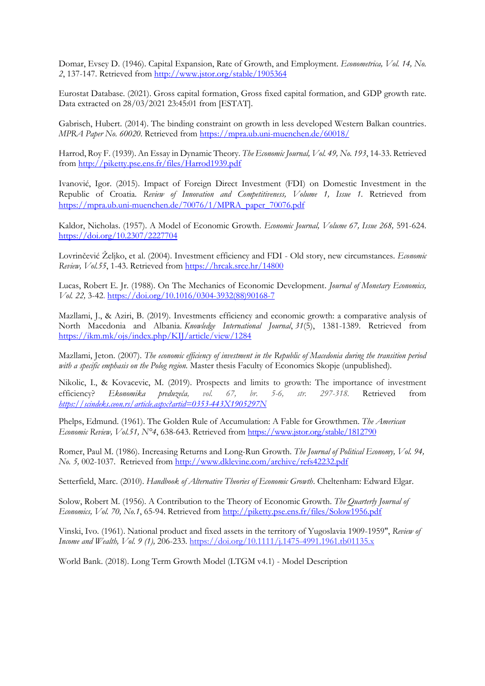Domar, Evsey D. (1946). Capital Expansion, Rate of Growth, and Employment. *Econometrica, Vol. 14, No. 2*, 137-147. Retrieved from <http://www.jstor.org/stable/1905364>

Eurostat Database. (2021). Gross capital formation, Gross fixed capital formation, and GDP growth rate. Data extracted on 28/03/2021 23:45:01 from [ESTAT].

Gabrisch, Hubert. (2014). The binding constraint on growth in less developed Western Balkan countries. *MPRA Paper No. 60020*. Retrieved from <https://mpra.ub.uni-muenchen.de/60018/>

Harrod, Roy F. (1939). An Essay in Dynamic Theory. *The Economic Journal, Vol. 49, No. 193*, 14-33. Retrieved from <http://piketty.pse.ens.fr/files/Harrod1939.pdf>

Ivanović, Igor. (2015). Impact of Foreign Direct Investment (FDI) on Domestic Investment in the Republic of Croatia. *Review of Innovation and Competitiveness, Volume 1, Issue 1.* Retrieved from [https://mpra.ub.uni-muenchen.de/70076/1/MPRA\\_paper\\_70076.pdf](https://mpra.ub.uni-muenchen.de/70076/1/MPRA_paper_70076.pdf)

Kaldor, Nicholas. (1957). A Model of Economic Growth. *Economic Journal, Volume 67, Issue 268,* 591-624. <https://doi.org/10.2307/2227704>

Lovrinčević Željko, et al. (2004). Investment efficiency and FDI - Old story, new circumstances. *Economic Review, Vol.55*, 1-43. Retrieved from<https://hrcak.srce.hr/14800>

Lucas, Robert E. Jr. (1988). On The Mechanics of Economic Development. *Journal of Monetary Economics, Vol. 22,* 3-42. [https://doi.org/10.1016/0304-3932\(88\)90168-7](https://doi.org/10.1016/0304-3932(88)90168-7)

Mazllami, J., & Aziri, B. (2019). Investments efficiency and economic growth: a comparative analysis of North Macedonia and Albania. *Knowledge International Journal*, *31*(5), 1381-1389. Retrieved from <https://ikm.mk/ojs/index.php/KIJ/article/view/1284>

Mazllami, Jeton. (2007). *The economic efficiency of investment in the Republic of Macedonia during the transition period with a specific emphasis on the Polog region.* Master thesis Faculty of Economics Skopje (unpublished)*.*

Nikolic, I., & Kovacevic, M. (2019). Prospects and limits to growth: The importance of investment efficiency? *[Ekonomika preduzeća](https://scindeks.ceon.rs/JournalDetails.aspx?issn=0353-443X), vol. 67, br. 5-6, str. 297-318.* Retrieved from *<https://scindeks.ceon.rs/article.aspx?artid=0353-443X1905297N>*

Phelps, Edmund. (1961). The Golden Rule of Accumulation: A Fable for Growthmen. *The American Economic Review, Vol.51, N°4*, 638-643. Retrieved from<https://www.jstor.org/stable/1812790>

Romer, Paul M. (1986). Increasing Returns and Long-Run Growth. *The Journal of Political Economy, Vol. 94, No. 5,* 002-1037. Retrieved from <http://www.dklevine.com/archive/refs42232.pdf>

Setterfield, Marc. (2010). *Handbook of Alternative Theories of Economic Growth*. Cheltenham: Edward Elgar.

Solow, Robert M. (1956). A Contribution to the Theory of Economic Growth. *The Quarterly Journal of Economics, Vol. 70, No.1*, 65-94. Retrieved from<http://piketty.pse.ens.fr/files/Solow1956.pdf>

Vinski, Ivo. (1961). National product and fixed assets in the territory of Yugoslavia 1909-1959", *Review of Income and Wealth, Vol. 9 (1),* 206-233. [https://doi.org/10.1111/j.1475-4991.1961.tb01135.x](https://econpapers.repec.org/scripts/redir.pf?u=https%3A%2F%2Fdoi.org%2F10.1111%2Fj.1475-4991.1961.tb01135.x;h=repec:bla:revinw:v:9:y:1961:i:1:p:206-233)

World Bank. (2018). Long Term Growth Model (LTGM v4.1) - Model Description